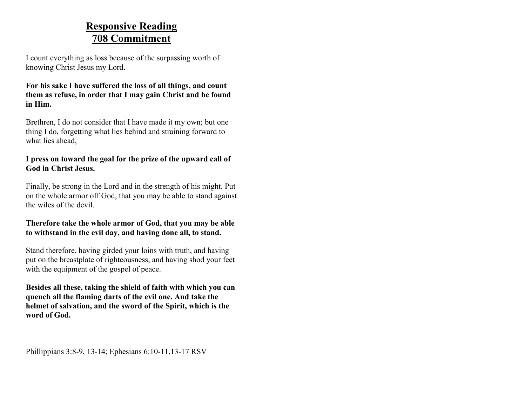# **Responsive Reading 708 Commitment**

I count everything as loss because of the surpassing worth of knowing Christ Jesus my Lord.

#### **For his sake I have suffered the loss of all things, and count them as refuse, in order that I may gain Christ and be found in Him.**

Brethren, I do not consider that I have made it my own; but one thing I do, forgetting what lies behind and straining forward to what lies ahead,

### **I press on toward the goal for the prize of the upward call of God in Christ Jesus.**

Finally, be strong in the Lord and in the strength of his might. Put on the whole armor off God, that you may be able to stand against the wiles of the devil.

#### **Therefore take the whole armor of God, that you may be able to withstand in the evil day, and having done all, to stand.**

Stand therefore, having girded your loins with truth, and having put on the breastplate of righteousness, and having shod your feet with the equipment of the gospel of peace.

**Besides all these, taking the shield of faith with which you can quench all the flaming darts of the evil one. And take the helmet of salvation, and the sword of the Spirit, which is the word of God.**

Phillippians 3:8-9, 13-14; Ephesians 6:10-11,13-17 RSV